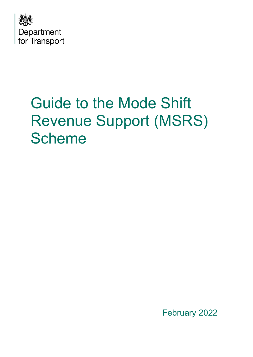

# Guide to the Mode Shift Revenue Support (MSRS) Scheme

February 2022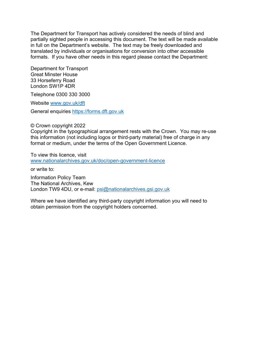The Department for Transport has actively considered the needs of blind and partially sighted people in accessing this document. The text will be made available in full on the Department's website. The text may be freely downloaded and translated by individuals or organisations for conversion into other accessible formats. If you have other needs in this regard please contact the Department:

Department for Transport Great Minster House 33 Horseferry Road London SW1P 4DR

Telephone 0300 330 3000

Website [www.gov.uk/dft](http://www.gov.uk/dft) 

General enquiries [https://forms.dft.gov.uk](https://forms.dft.gov.uk/) 

© Crown copyright 2022

Copyright in the typographical arrangement rests with the Crown. You may re-use this information (not including logos or third-party material) free of charge in any format or medium, under the terms of the Open Government Licence.

To view this licence, visit [www.nationalarchives.gov.uk/doc/open-government-licence](http://www.nationalarchives.gov.uk/doc/open-government-licence) 

or write to:

Information Policy Team The National Archives, Kew London TW9 4DU, or e-mail: [psi@nationalarchives.gsi.gov.uk](mailto:psi@nationalarchives.gsi.gov.uk)

Where we have identified any third-party copyright information you will need to obtain permission from the copyright holders concerned.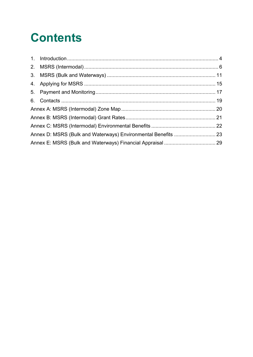## **Contents**

| Annex D: MSRS (Bulk and Waterways) Environmental Benefits  23 |  |
|---------------------------------------------------------------|--|
|                                                               |  |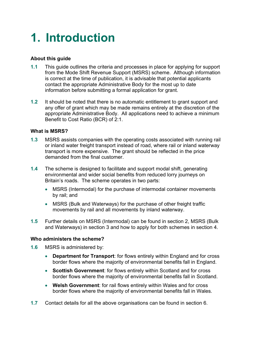### <span id="page-3-0"></span>**1. Introduction**

#### **About this guide**

- **1.1** This guide outlines the criteria and processes in place for applying for support from the Mode Shift Revenue Support (MSRS) scheme. Although information is correct at the time of publication, it is advisable that potential applicants contact the appropriate Administrative Body for the most up to date information before submitting a formal application for grant.
- **1.2** It should be noted that there is no automatic entitlement to grant support and any offer of grant which may be made remains entirely at the discretion of the appropriate Administrative Body. All applications need to achieve a minimum Benefit to Cost Ratio (BCR) of 2:1.

#### **What is MSRS?**

- **1.3** MSRS assists companies with the operating costs associated with running rail or inland water freight transport instead of road, where rail or inland waterway transport is more expensive. The grant should be reflected in the price demanded from the final customer.
- **1.4** The scheme is designed to facilitate and support modal shift, generating environmental and wider social benefits from reduced lorry journeys on Britain's roads. The scheme operates in two parts:
	- MSRS (Intermodal) for the purchase of intermodal container movements by rail; and
	- MSRS (Bulk and Waterways) for the purchase of other freight traffic movements by rail and all movements by inland waterway.
- **1.5** Further details on MSRS (Intermodal) can be found in section 2, MSRS (Bulk and Waterways) in section 3 and how to apply for both schemes in section 4.

#### **Who administers the scheme?**

- **1.6** MSRS is administered by:
	- **Department for Transport**: for flows entirely within England and for cross border flows where the majority of environmental benefits fall in England.
	- **Scottish Government**: for flows entirely within Scotland and for cross border flows where the majority of environmental benefits fall in Scotland.
	- **Welsh Government**: for rail flows entirely within Wales and for cross border flows where the majority of environmental benefits fall in Wales.
- **1.7** Contact details for all the above organisations can be found in section 6.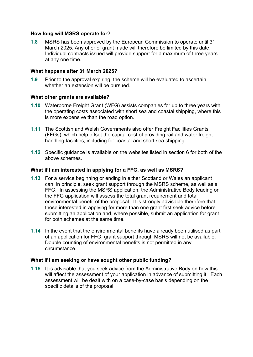#### **How long will MSRS operate for?**

**1.8** MSRS has been approved by the European Commission to operate until 31 March 2025. Any offer of grant made will therefore be limited by this date. Individual contracts issued will provide support for a maximum of three years at any one time.

#### **What happens after 31 March 2025?**

**1.9** Prior to the approval expiring, the scheme will be evaluated to ascertain whether an extension will be pursued.

#### **What other grants are available?**

- **1.10** Waterborne Freight Grant (WFG) assists companies for up to three years with the operating costs associated with short sea and coastal shipping, where this is more expensive than the road option.
- **1.11** The Scottish and Welsh Governments also offer Freight Facilities Grants (FFGs), which help offset the capital cost of providing rail and water freight handling facilities, including for coastal and short sea shipping.
- **1.12** Specific guidance is available on the websites listed in section 6 for both of the above schemes.

#### **What if I am interested in applying for a FFG, as well as MSRS?**

- **1.13** For a service beginning or ending in either Scotland or Wales an applicant can, in principle, seek grant support through the MSRS scheme, as well as a FFG. In assessing the MSRS application, the Administrative Body leading on the FFG application will assess the total grant requirement and total environmental benefit of the proposal. It is strongly advisable therefore that those interested in applying for more than one grant first seek advice before submitting an application and, where possible, submit an application for grant for both schemes at the same time.
- **1.14** In the event that the environmental benefits have already been utilised as part of an application for FFG, grant support through MSRS will not be available. Double counting of environmental benefits is not permitted in any circumstance.

#### **What if I am seeking or have sought other public funding?**

**1.15** It is advisable that you seek advice from the Administrative Body on how this will affect the assessment of your application in advance of submitting it. Each assessment will be dealt with on a case-by-case basis depending on the specific details of the proposal.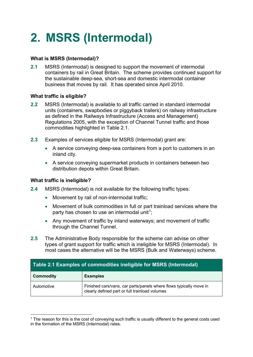## <span id="page-5-0"></span>**2. MSRS (Intermodal)**

#### **What is MSRS (Intermodal)?**

**2.1** MSRS (Intermodal) is designed to support the movement of intermodal containers by rail in Great Britain. The scheme provides continued support for the sustainable deep-sea, short-sea and domestic intermodal container business that moves by rail. It has operated since April 2010.

#### **What traffic is eligible?**

- **2.2** MSRS (Intermodal) is available to all traffic carried in standard intermodal units (containers, swapbodies or piggyback trailers) on railway infrastructure as defined in the Railways Infrastructure (Access and Management) Regulations 2005, with the exception of Channel Tunnel traffic and those commodities highlighted in Table 2.1.
- **2.3** Examples of services eligible for MSRS (Intermodal) grant are:
	- A service conveying deep-sea containers from a port to customers in an inland city.
	- A service conveying supermarket products in containers between two distribution depots within Great Britain.

#### **What traffic is ineligible?**

- **2.4** MSRS (Intermodal) is not available for the following traffic types:
	- Movement by rail of non-intermodal traffic;
	- Movement of bulk commodities in full or part trainload services where the party has chosen to use an intermodal unit<sup>1</sup>;
	- Any movement of traffic by inland waterways; and movement of traffic through the Channel Tunnel.
- **2.5** The Administrative Body responsible for the scheme can advise on other types of grant support for traffic which is ineligible for MSRS (Intermodal). In most cases the alternative will be the MSRS (Bulk and Waterways) scheme.

| Table 2.1 Examples of commodities ineligible for MSRS (Intermodal) |                                                                                                                      |  |  |  |  |  |  |  |  |  |  |
|--------------------------------------------------------------------|----------------------------------------------------------------------------------------------------------------------|--|--|--|--|--|--|--|--|--|--|
| <b>Commodity</b>                                                   | <b>Examples</b>                                                                                                      |  |  |  |  |  |  |  |  |  |  |
| Automotive                                                         | Finished cars/vans, car parts/panels where flows typically move in<br>clearly defined part or full trainload volumes |  |  |  |  |  |  |  |  |  |  |

 $1$  The reason for this is the cost of conveying such traffic is usually different to the general costs used in the formation of the MSRS (Intermodal) rates.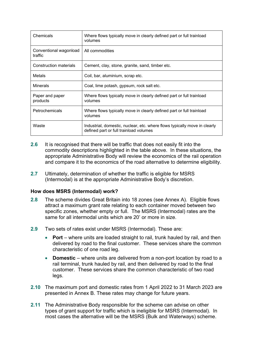| Chemicals                         | Where flows typically move in clearly defined part or full trainload<br>volumes                                     |
|-----------------------------------|---------------------------------------------------------------------------------------------------------------------|
| Conventional wagonload<br>traffic | All commodities                                                                                                     |
| Construction materials            | Cement, clay, stone, granite, sand, timber etc.                                                                     |
| Metals                            | Coil, bar, aluminium, scrap etc.                                                                                    |
| <b>Minerals</b>                   | Coal, lime potash, gypsum, rock salt etc.                                                                           |
| Paper and paper<br>products       | Where flows typically move in clearly defined part or full trainload<br>volumes                                     |
| Petrochemicals                    | Where flows typically move in clearly defined part or full trainload<br>volumes                                     |
| Waste                             | Industrial, domestic, nuclear, etc. where flows typically move in clearly<br>defined part or full trainload volumes |

- **2.6** It is recognised that there will be traffic that does not easily fit into the commodity descriptions highlighted in the table above. In these situations, the appropriate Administrative Body will review the economics of the rail operation and compare it to the economics of the road alternative to determine eligibility.
- **2.7** Ultimately, determination of whether the traffic is eligible for MSRS (Intermodal) is at the appropriate Administrative Body's discretion.

#### **How does MSRS (Intermodal) work?**

- **2.8** The scheme divides Great Britain into 18 zones (see Annex A). Eligible flows attract a maximum grant rate relating to each container moved between two specific zones, whether empty or full. The MSRS (Intermodal) rates are the same for all intermodal units which are 20' or more in size.
- **2.9** Two sets of rates exist under MSRS (Intermodal). These are:
	- **Port** where units are loaded straight to rail, trunk hauled by rail, and then delivered by road to the final customer. These services share the common characteristic of one road leg.
	- **Domestic** where units are delivered from a non-port location by road to a rail terminal, trunk hauled by rail, and then delivered by road to the final customer. These services share the common characteristic of two road legs.
- **2.10** The maximum port and domestic rates from 1 April 2022 to 31 March 2023 are presented in Annex B. These rates may change for future years.
- **2.11** The Administrative Body responsible for the scheme can advise on other types of grant support for traffic which is ineligible for MSRS (Intermodal). In most cases the alternative will be the MSRS (Bulk and Waterways) scheme.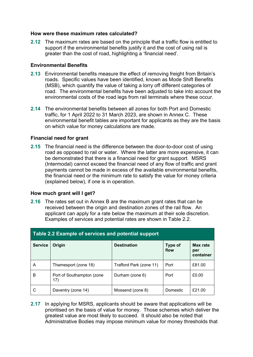#### **How were these maximum rates calculated?**

**2.12** The maximum rates are based on the principle that a traffic flow is entitled to support if the environmental benefits justify it and the cost of using rail is greater than the cost of road, highlighting a 'financial need'.

#### **Environmental Benefits**

- **2.13** Environmental benefits measure the effect of removing freight from Britain's roads. Specific values have been identified, known as Mode Shift Benefits (MSB), which quantify the value of taking a lorry off different categories of road. The environmental benefits have been adjusted to take into account the environmental costs of the road legs from rail terminals where these occur.
- **2.14** The environmental benefits between all zones for both Port and Domestic traffic, for 1 April 2022 to 31 March 2023, are shown in Annex C. These environmental benefit tables are important for applicants as they are the basis on which value for money calculations are made.

#### **Financial need for grant**

**2.15** The financial need is the difference between the door-to-door cost of using road as opposed to rail or water. Where the latter are more expensive, it can be demonstrated that there is a financial need for grant support. MSRS (Intermodal) cannot exceed the financial need of any flow of traffic and grant payments cannot be made in excess of the available environmental benefits. the financial need or the minimum rate to satisfy the value for money criteria (explained below), if one is in operation.

#### **How much grant will I get?**

**2.16** The rates set out in Annex B are the maximum grant rates that can be received between the origin and destination zones of the rail flow. An applicant can apply for a rate below the maximum at their sole discretion. Examples of services and potential rates are shown in Table 2.2.

|                | Table 2.2 Example of services and potential support |                         |                 |                              |  |  |  |  |  |  |  |  |  |  |  |
|----------------|-----------------------------------------------------|-------------------------|-----------------|------------------------------|--|--|--|--|--|--|--|--|--|--|--|
| <b>Service</b> | Origin                                              | <b>Destination</b>      | Type of<br>flow | Max rate<br>per<br>container |  |  |  |  |  |  |  |  |  |  |  |
| A              | Thamesport (zone 18)                                | Trafford Park (zone 11) | Port            | £81.00                       |  |  |  |  |  |  |  |  |  |  |  |
| в              | Port of Southampton (zone<br>17)                    | Durham (zone 6)         | Port            | £0.00                        |  |  |  |  |  |  |  |  |  |  |  |
| C              | Daventry (zone 14)                                  | Mossend (zone 8)        | Domestic        | £21.00                       |  |  |  |  |  |  |  |  |  |  |  |

**2.17** In applying for MSRS, applicants should be aware that applications will be prioritised on the basis of value for money. Those schemes which deliver the greatest value are most likely to succeed. It should also be noted that Administrative Bodies may impose minimum value for money thresholds that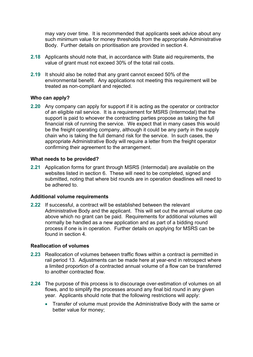may vary over time. It is recommended that applicants seek advice about any such minimum value for money thresholds from the appropriate Administrative Body. Further details on prioritisation are provided in section 4.

- **2.18** Applicants should note that, in accordance with State aid requirements, the value of grant must not exceed 30% of the total rail costs.
- **2.19** It should also be noted that any grant cannot exceed 50% of the environmental benefit. Any applications not meeting this requirement will be treated as non-compliant and rejected.

#### **Who can apply?**

**2.20** Any company can apply for support if it is acting as the operator or contractor of an eligible rail service. It is a requirement for MSRS (Intermodal) that the support is paid to whoever the contracting parties propose as taking the full financial risk of running the service. We expect that in many cases this would be the freight operating company, although it could be any party in the supply chain who is taking the full demand risk for the service. In such cases, the appropriate Administrative Body will require a letter from the freight operator confirming their agreement to the arrangement.

#### **What needs to be provided?**

**2.21** Application forms for grant through MSRS (Intermodal) are available on the websites listed in section 6. These will need to be completed, signed and submitted, noting that where bid rounds are in operation deadlines will need to be adhered to.

#### **Additional volume requirements**

**2.22** If successful, a contract will be established between the relevant Administrative Body and the applicant. This will set out the annual volume cap above which no grant can be paid. Requirements for additional volumes will normally be handled as a new application and as part of a bidding round process if one is in operation. Further details on applying for MSRS can be found in section 4.

#### **Reallocation of volumes**

- **2.23** Reallocation of volumes between traffic flows within a contract is permitted in rail period 13. Adjustments can be made here at year-end in retrospect where a limited proportion of a contracted annual volume of a flow can be transferred to another contracted flow.
- **2.24** The purpose of this process is to discourage over-estimation of volumes on all flows, and to simplify the processes around any final bid round in any given year. Applicants should note that the following restrictions will apply:
	- Transfer of volume must provide the Administrative Body with the same or better value for money;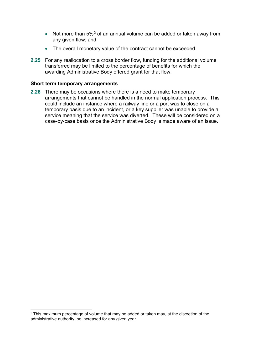- Not more than  $5\%^2$  $5\%^2$  of an annual volume can be added or taken away from any given flow; and
- The overall monetary value of the contract cannot be exceeded.
- **2.25** For any reallocation to a cross border flow, funding for the additional volume transferred may be limited to the percentage of benefits for which the awarding Administrative Body offered grant for that flow.

#### **Short term temporary arrangements**

**2.26** There may be occasions where there is a need to make temporary arrangements that cannot be handled in the normal application process. This could include an instance where a railway line or a port was to close on a temporary basis due to an incident, or a key supplier was unable to provide a service meaning that the service was diverted. These will be considered on a case-by-case basis once the Administrative Body is made aware of an issue.

<span id="page-9-0"></span> $2$  This maximum percentage of volume that may be added or taken may, at the discretion of the administrative authority, be increased for any given year.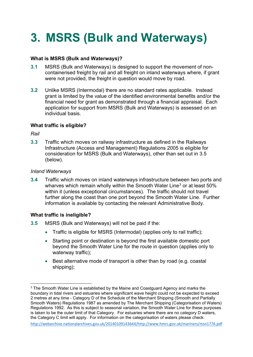## <span id="page-10-0"></span>**3. MSRS (Bulk and Waterways)**

#### **What is MSRS (Bulk and Waterways)?**

- **3.1** MSRS (Bulk and Waterways) is designed to support the movement of noncontainerised freight by rail and all freight on inland waterways where, if grant were not provided, the freight in question would move by road.
- **3.2** Unlike MSRS (Intermodal) there are no standard rates applicable. Instead grant is limited by the value of the identified environmental benefits and/or the financial need for grant as demonstrated through a financial appraisal. Each application for support from MSRS (Bulk and Waterways) is assessed on an individual basis.

#### **What traffic is eligible?**

*Rail* 

**3.3** Traffic which moves on railway infrastructure as defined in the Railways Infrastructure (Access and Management) Regulations 2005 is eligible for consideration for MSRS (Bulk and Waterways), other than set out in 3.5 (below).

#### *Inland Waterways*

**3.4** Traffic which moves on inland waterways infrastructure between two ports and wharves which remain wholly within the Smooth Water Line<sup>3</sup> or at least 50% within it (unless exceptional circumstances). The traffic should not travel further along the coast than one port beyond the Smooth Water Line. Further information is available by contacting the relevant Administrative Body.

#### **What traffic is ineligible?**

- **3.5** MSRS (Bulk and Waterways) will not be paid if the:
	- Traffic is eligible for MSRS (Intermodal) (applies only to rail traffic):
	- Starting point or destination is beyond the first available domestic port beyond the Smooth Water Line for the route in question (applies only to waterway traffic);
	- Best alternative mode of transport is other than by road (e.g. coastal shipping);

```
http://webarchive.nationalarchives.gov.uk/20140109143644/http://www.hmrc.gov.uk/mariners/msn1776.pdf
```
 $3$  The Smooth Water Line is established by the Maine and Coastguard Agency and marks the boundary in tidal rivers and estuaries where significant wave height could not be expected to exceed 2 metres at any time - Category D of the Schedule of the Merchant Shipping (Smooth and Partially Smooth Waters) Regulations 1987 as amended by The Merchant Shipping (Categorisation of Waters) Regulations 1992. As this is subject to seasonal variation, the Smooth Water Line for these purposes is taken to be the outer limit of that Category. For estuaries where there are no category D waters, the Category C limit will apply. For information on the categorisation of waters please check: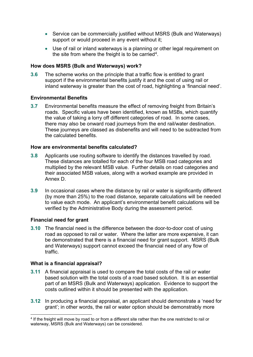- Service can be commercially justified without MSRS (Bulk and Waterways) support or would proceed in any event without it;
- Use of rail or inland waterways is a planning or other legal requirement on the site from where the freight is to be carried<sup>4</sup>.

#### **How does MSRS (Bulk and Waterways) work?**

**3.6** The scheme works on the principle that a traffic flow is entitled to grant support if the environmental benefits justify it and the cost of using rail or inland waterway is greater than the cost of road, highlighting a 'financial need'.

#### **Environmental Benefits**

**3.7** Environmental benefits measure the effect of removing freight from Britain's roads. Specific values have been identified, known as MSBs, which quantify the value of taking a lorry off different categories of road. In some cases, there may also be onward road journeys from the end rail/water destination. These journeys are classed as disbenefits and will need to be subtracted from the calculated benefits.

#### **How are environmental benefits calculated?**

- **3.8** Applicants use routing software to identify the distances travelled by road. These distances are totalled for each of the four MSB road categories and multiplied by the relevant MSB value. Further details on road categories and their associated MSB values, along with a worked example are provided in Annex D.
- **3.9** In occasional cases where the distance by rail or water is significantly different (by more than 25%) to the road distance, separate calculations will be needed to value each mode. An applicant's environmental benefit calculations will be verified by the Administrative Body during the assessment period.

#### **Financial need for grant**

**3.10** The financial need is the difference between the door-to-door cost of using road as opposed to rail or water. Where the latter are more expensive, it can be demonstrated that there is a financial need for grant support. MSRS (Bulk and Waterways) support cannot exceed the financial need of any flow of traffic.

#### **What is a financial appraisal?**

- **3.11** A financial appraisal is used to compare the total costs of the rail or water based solution with the total costs of a road based solution. It is an essential part of an MSRS (Bulk and Waterways) application. Evidence to support the costs outlined within it should be presented with the application.
- **3.12** In producing a financial appraisal, an applicant should demonstrate a 'need for grant'; in other words, the rail or water option should be demonstrably more

<sup>4</sup> If the freight will move by road to or from a different site rather than the one restricted to rail or waterway, MSRS (Bulk and Waterways) can be considered.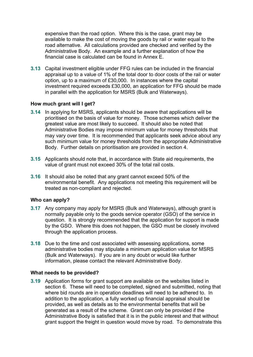expensive than the road option. Where this is the case, grant may be available to make the cost of moving the goods by rail or water equal to the road alternative. All calculations provided are checked and verified by the Administrative Body. An example and a further explanation of how the financial case is calculated can be found in Annex E.

**3.13** Capital investment eligible under FFG rules can be included in the financial appraisal up to a value of 1% of the total door to door costs of the rail or water option, up to a maximum of £30,000. In instances where the capital investment required exceeds £30,000, an application for FFG should be made in parallel with the application for MSRS (Bulk and Waterways).

#### **How much grant will I get?**

- **3.14** In applying for MSRS, applicants should be aware that applications will be prioritised on the basis of value for money. Those schemes which deliver the greatest value are most likely to succeed. It should also be noted that Administrative Bodies may impose minimum value for money thresholds that may vary over time. It is recommended that applicants seek advice about any such minimum value for money thresholds from the appropriate Administrative Body. Further details on prioritisation are provided in section 4.
- **3.15** Applicants should note that, in accordance with State aid requirements, the value of grant must not exceed 30% of the total rail costs.
- **3.16** It should also be noted that any grant cannot exceed 50% of the environmental benefit. Any applications not meeting this requirement will be treated as non-compliant and rejected.

#### **Who can apply?**

- **3.17** Any company may apply for MSRS (Bulk and Waterways), although grant is normally payable only to the goods service operator (GSO) of the service in question. It is strongly recommended that the application for support is made by the GSO. Where this does not happen, the GSO must be closely involved through the application process.
- **3.18** Due to the time and cost associated with assessing applications, some administrative bodies may stipulate a minimum application value for MSRS (Bulk and Waterways). If you are in any doubt or would like further information, please contact the relevant Administrative Body.

#### **What needs to be provided?**

**3.19** Application forms for grant support are available on the websites listed in section 6. These will need to be completed, signed and submitted, noting that where bid rounds are in operation deadlines will need to be adhered to. In addition to the application, a fully worked up financial appraisal should be provided, as well as details as to the environmental benefits that will be generated as a result of the scheme. Grant can only be provided if the Administrative Body is satisfied that it is in the public interest and that without grant support the freight in question would move by road. To demonstrate this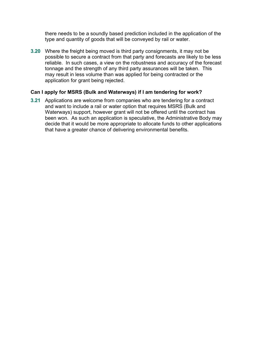there needs to be a soundly based prediction included in the application of the type and quantity of goods that will be conveyed by rail or water.

**3.20** Where the freight being moved is third party consignments, it may not be possible to secure a contract from that party and forecasts are likely to be less reliable. In such cases, a view on the robustness and accuracy of the forecast tonnage and the strength of any third party assurances will be taken. This may result in less volume than was applied for being contracted or the application for grant being rejected.

#### **Can I apply for MSRS (Bulk and Waterways) if I am tendering for work?**

**3.21** Applications are welcome from companies who are tendering for a contract and want to include a rail or water option that requires MSRS (Bulk and Waterways) support, however grant will not be offered until the contract has been won. As such an application is speculative, the Administrative Body may decide that it would be more appropriate to allocate funds to other applications that have a greater chance of delivering environmental benefits.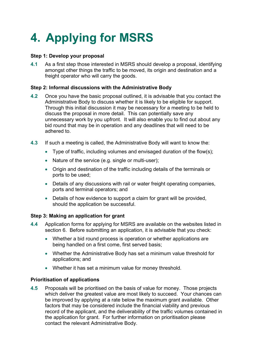## <span id="page-14-0"></span>**4. Applying for MSRS**

#### **Step 1: Develop your proposal**

**4.1** As a first step those interested in MSRS should develop a proposal, identifying amongst other things the traffic to be moved, its origin and destination and a freight operator who will carry the goods.

#### **Step 2: Informal discussions with the Administrative Body**

- **4.2** Once you have the basic proposal outlined, it is advisable that you contact the Administrative Body to discuss whether it is likely to be eligible for support. Through this initial discussion it may be necessary for a meeting to be held to discuss the proposal in more detail. This can potentially save any unnecessary work by you upfront. It will also enable you to find out about any bid round that may be in operation and any deadlines that will need to be adhered to.
- **4.3** If such a meeting is called, the Administrative Body will want to know the:
	- Type of traffic, including volumes and envisaged duration of the flow(s);
	- Nature of the service (e.g. single or multi-user);
	- Origin and destination of the traffic including details of the terminals or ports to be used;
	- Details of any discussions with rail or water freight operating companies, ports and terminal operators; and
	- Details of how evidence to support a claim for grant will be provided. should the application be successful.

#### **Step 3: Making an application for grant**

- **4.4** Application forms for applying for MSRS are available on the websites listed in section 6. Before submitting an application, it is advisable that you check:
	- Whether a bid round process is operation or whether applications are being handled on a first come, first served basis;
	- Whether the Administrative Body has set a minimum value threshold for applications; and
	- Whether it has set a minimum value for money threshold.

#### **Prioritisation of applications**

**4.5** Proposals will be prioritised on the basis of value for money. Those projects which deliver the greatest value are most likely to succeed. Your chances can be improved by applying at a rate below the maximum grant available. Other factors that may be considered include the financial viability and previous record of the applicant, and the deliverability of the traffic volumes contained in the application for grant. For further information on prioritisation please contact the relevant Administrative Body.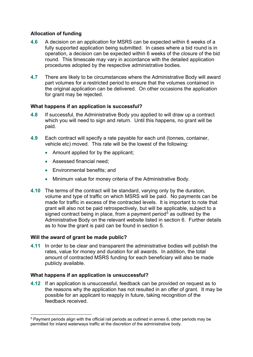#### **Allocation of funding**

- **4.6** A decision on an application for MSRS can be expected within 6 weeks of a fully supported application being submitted. In cases where a bid round is in operation, a decision can be expected within 6 weeks of the closure of the bid round. This timescale may vary in accordance with the detailed application procedures adopted by the respective administrative bodies.
- **4.7** There are likely to be circumstances where the Administrative Body will award part volumes for a restricted period to ensure that the volumes contained in the original application can be delivered. On other occasions the application for grant may be rejected.

#### **What happens if an application is successful?**

- **4.8** If successful, the Administrative Body you applied to will draw up a contract which you will need to sign and return. Until this happens, no grant will be paid.
- **4.9** Each contract will specify a rate payable for each unit (tonnes, container, vehicle etc) moved. This rate will be the lowest of the following:
	- Amount applied for by the applicant;
	- Assessed financial need;
	- Environmental benefits: and
	- Minimum value for money criteria of the Administrative Body.
- **4.10** The terms of the contract will be standard, varying only by the duration, volume and type of traffic on which MSRS will be paid. No payments can be made for traffic in excess of the contracted levels. It is important to note that grant will also not be paid retrospectively, but will be applicable, subject to a signed contract being in place, from a payment period<sup>5</sup> as outlined by the Administrative Body on the relevant website listed in section 6. Further details as to how the grant is paid can be found in section 5.

#### **Will the award of grant be made public?**

**4.11** In order to be clear and transparent the administrative bodies will publish the rates, value for money and duration for all awards. In addition, the total amount of contracted MSRS funding for each beneficiary will also be made publicly available.

#### **What happens if an application is unsuccessful?**

**4.12** If an application is unsuccessful, feedback can be provided on request as to the reasons why the application has not resulted in an offer of grant. It may be possible for an applicant to reapply in future, taking recognition of the feedback received.

 $5$  Payment periods align with the official rail periods as outlined in annex 6, other periods may be permitted for inland waterways traffic at the discretion of the administrative body.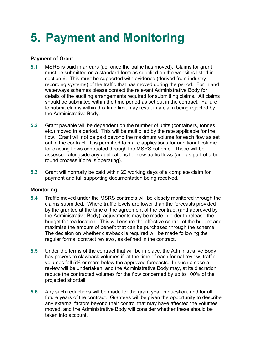## <span id="page-16-0"></span>**5. Payment and Monitoring**

#### **Payment of Grant**

- **5.1** MSRS is paid in arrears (i.e. once the traffic has moved). Claims for grant must be submitted on a standard form as supplied on the websites listed in section 6. This must be supported with evidence (derived from industry recording systems) of the traffic that has moved during the period. For inland waterways schemes please contact the relevant Administrative Body for details of the auditing arrangements required for submitting claims. All claims should be submitted within the time period as set out in the contract. Failure to submit claims within this time limit may result in a claim being rejected by the Administrative Body.
- **5.2** Grant payable will be dependent on the number of units (containers, tonnes etc.) moved in a period. This will be multiplied by the rate applicable for the flow. Grant will not be paid beyond the maximum volume for each flow as set out in the contract. It is permitted to make applications for additional volume for existing flows contracted through the MSRS scheme. These will be assessed alongside any applications for new traffic flows (and as part of a bid round process if one is operating).
- **5.3** Grant will normally be paid within 20 working days of a complete claim for payment and full supporting documentation being received.

#### **Monitoring**

- **5.4** Traffic moved under the MSRS contracts will be closely monitored through the claims submitted. Where traffic levels are lower than the forecasts provided by the grantee at the time of the agreement of the contract (and approved by the Administrative Body), adjustments may be made in order to release the budget for reallocation. This will ensure the effective control of the budget and maximise the amount of benefit that can be purchased through the scheme. The decision on whether clawback is required will be made following the regular formal contract reviews, as defined in the contract.
- **5.5** Under the terms of the contract that will be in place, the Administrative Body has powers to clawback volumes if, at the time of each formal review, traffic volumes fall 5% or more below the approved forecasts. In such a case a review will be undertaken, and the Administrative Body may, at its discretion, reduce the contracted volumes for the flow concerned by up to 100% of the projected shortfall.
- **5.6** Any such reductions will be made for the grant year in question, and for all future years of the contract. Grantees will be given the opportunity to describe any external factors beyond their control that may have affected the volumes moved, and the Administrative Body will consider whether these should be taken into account.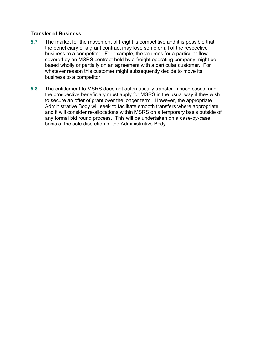#### **Transfer of Business**

- **5.7** The market for the movement of freight is competitive and it is possible that the beneficiary of a grant contract may lose some or all of the respective business to a competitor. For example, the volumes for a particular flow covered by an MSRS contract held by a freight operating company might be based wholly or partially on an agreement with a particular customer. For whatever reason this customer might subsequently decide to move its business to a competitor.
- **5.8** The entitlement to MSRS does not automatically transfer in such cases, and the prospective beneficiary must apply for MSRS in the usual way if they wish to secure an offer of grant over the longer term. However, the appropriate Administrative Body will seek to facilitate smooth transfers where appropriate, and it will consider re-allocations within MSRS on a temporary basis outside of any formal bid round process. This will be undertaken on a case-by-case basis at the sole discretion of the Administrative Body.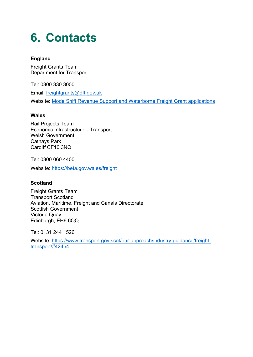### <span id="page-18-0"></span>**6. Contacts**

#### **England**

Freight Grants Team Department for Transport

Tel: 0300 330 3000

Email: [freightgrants@dft.gov.uk](mailto:freightgrants@dft.gov.uk) 

Website: [Mode Shift Revenue Support and Waterborne Freight Grant applications](https://www.gov.uk/government/publications/department-for-transport-delivers-more-grant-funding-to-transport-freight-by-rail/mode-shift-revenue-support-and-waterborne-freight-grant-applications-and-background-information) 

#### **Wales**

Rail Projects Team Economic Infrastructure – Transport Welsh Government Cathays Park Cardiff CF10 3NQ

Tel: 0300 060 4400

Website:<https://beta.gov.wales/freight>

#### **Scotland**

Freight Grants Team Transport Scotland Aviation, Maritime, Freight and Canals Directorate Scottish Government Victoria Quay Edinburgh, EH6 6QQ

Tel: 0131 244 1526

Website: [https://www.transport.gov.scot/our-approach/industry-guidance/freight](https://www.transport.gov.scot/our-approach/industry-guidance/freight-transport/#42454)[transport/#42454](https://www.transport.gov.scot/our-approach/industry-guidance/freight-transport/#42454)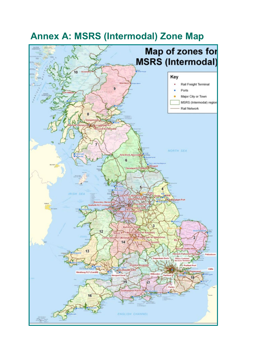

### <span id="page-19-0"></span>**Annex A: MSRS (Intermodal) Zone Map**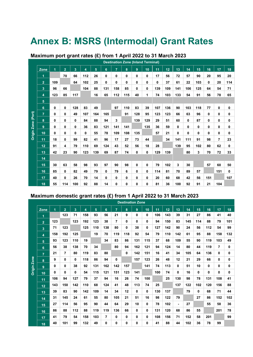### <span id="page-20-0"></span>**Annex B: MSRS (Intermodal) Grant Rates**

|                    | <b>Destination Zone (Inland Terminal)</b> |     |                |     |     |     |     |                |     |              |              |     |     |     |             |     |     |     |     |
|--------------------|-------------------------------------------|-----|----------------|-----|-----|-----|-----|----------------|-----|--------------|--------------|-----|-----|-----|-------------|-----|-----|-----|-----|
|                    | Zone                                      | 1   | $\overline{2}$ | 3   | 4   | 5   | 6   | $\overline{7}$ | 8   | 9            | 10           | 11  | 12  | 13  | 14          | 15  | 16  | 17  | 18  |
|                    | 1                                         |     | 70             | 66  | 112 | 26  | 0   | $\mathbf{0}$   | 0   | $\mathbf{0}$ | $\mathbf{0}$ | 17  | 56  | 72  | 57          | 90  | 20  | 95  | 20  |
|                    | 2 <sup>1</sup>                            | 109 |                | 64  | 102 | 25  | 0   | 0              | 0   | 0            | 0            | 0   | 37  | 61  | 22          | 103 | 0   | 20  | 114 |
|                    | 3                                         | 96  | 66             |     | 104 | 88  | 131 | 158            | 85  | 0            | 0            | 139 | 109 | 141 | 106         | 125 | 64  | 54  | 71  |
|                    | 4                                         | 123 | 85             | 117 |     | 16  | 65  | 112            | 115 | 40           | 1            | 74  | 103 | 133 | 54          | 91  | 56  | 78  | 65  |
|                    | 5                                         |     |                |     |     |     |     |                |     |              |              |     |     |     |             |     |     |     |     |
|                    | 6                                         | 0   | 0              | 128 | 83  | 49  |     | 97             | 110 | 83           | 39           | 107 | 136 | 90  | 103         | 118 | 77  | 0   | 0   |
|                    | $\overline{7}$                            | 0   | 0              | 49  | 107 | 164 | 165 |                | 91  | 128          | 95           | 123 | 123 | 66  | 63          | 96  | 0   | 0   | 0   |
| Origin Zone (Port) | 8                                         | 0   | 0              | 0   | 84  | 88  | 94  | 3              |     | 139          | 129          | 29  | 51  | 60  | $\mathbf 0$ | 87  | 0   | 0   | 0   |
|                    | 9                                         | 0   | 0              | 0   | 36  | 83  | 121 | 141            | 141 |              | 135          | 36  | 59  | 0   | 0           | 0   | 0   | 0   | 0   |
|                    | 10                                        | 0   | 0              | 0   | 0   | 55  | 78  | 109            | 108 | 135          |              | 57  | 21  | 0   | 0           | 0   | 0   | 0   | 0   |
|                    | 11                                        | 18  | 0              | 99  | 82  | 41  | 96  | 17             | 27  | 73           | 44           |     | 34  | 141 | 111         | 91  | 98  | 7   | 23  |
|                    | 12                                        | 91  | 4              | 79  | 110 | 69  | 124 | 43             | 52  | 56           | 18           | 28  |     | 139 | 95          | 102 | 80  | 62  | 0   |
|                    | 13                                        | 42  | 23             | 90  | 123 | 139 | 69  | 87             | 74  | 0            | 0            | 129 | 139 |     | 80          | 3   | 70  | 72  | 33  |
|                    | 14                                        |     |                |     |     |     |     |                |     |              |              |     |     |     |             |     |     |     |     |
|                    | 15                                        | 30  | 63             | 58  | 98  | 93  | 97  | 90             | 98  | $\mathbf{0}$ | 0            | 79  | 102 | 3   | 30          |     | 57  | 60  | 50  |
|                    | 16                                        | 85  | 0              | 82  | 49  | 79  | 0   | 79             | 6   | 0            | 0            | 114 | 81  | 70  | 89          | 57  |     | 151 | 0   |
|                    | 17                                        | 40  | 0              | 26  | 70  | 14  | 0   | $\mathbf 0$    | 0   | $\mathbf 0$  | 0            | 20  | 60  | 68  | 42          | 56  | 151 |     | 107 |
|                    | 18                                        | 55  | 114            | 100 | 92  | 88  | 14  | 0              | 0   | 0            | 0            | 81  | 36  | 100 | 92          | 91  | 21  | 104 |     |

#### **Maximum port grant rates (£) from 1 April 2022 to 31 March 2023**

#### **Maximum domestic grant rates (£) from 1 April 2022 to 31 March 2023**

|                    |                |                |                |                |     |     |     |                | <b>Destination Zone</b> |                |     |     |     |                |     |     |     |     |     |
|--------------------|----------------|----------------|----------------|----------------|-----|-----|-----|----------------|-------------------------|----------------|-----|-----|-----|----------------|-----|-----|-----|-----|-----|
|                    | Zone           | $\overline{1}$ | $\overline{2}$ | 3 <sup>1</sup> | 4   | 5   | 6   | $\overline{7}$ | 8                       | 9 <sup>°</sup> | 10  | 11  | 12  | 13             | 14  | 15  | 16  | 17  | 18  |
|                    | 1              |                | 123            | 71             | 158 | 93  | 56  | 21             | 9                       | 0              | 0   | 106 | 143 | 39             | 31  | 27  | 86  | 41  | 40  |
|                    | $\overline{2}$ | 123            |                | 123            | 192 | 123 | 38  | 7              | 0                       | 0              | 0   | 94  | 150 | 83             | 145 | 114 | 88  | 79  | 101 |
|                    | 3              | 71             | 123            |                | 125 | 110 | 138 | 80             | $\bf{0}$                | 38             | 0   | 127 | 142 | 90             | 24  | 56  | 112 | 54  | 99  |
|                    | 4              | 158            | 192            | 125            |     | 19  | 70  | 119            | 118                     | 92             | 54  | 79  | 110 | 142            | 61  | 95  | 88  | 158 | 132 |
|                    | 5              | 93             | 123            | 110            | 19  |     | 34  | 83             | 86                      | 131            | 115 | 37  | 68  | 109            | 55  | 90  | 119 | 103 | 49  |
|                    | 6              | 56             | 38             | 138            | 70  | 34  |     | 80             | 94                      | 162            | 121 | 94  | 124 | 14             | 80  | 44  | 119 | 7   | 0   |
|                    | $\overline{7}$ | 21             | $\overline{7}$ | 80             | 119 | 83  | 80  |                | 0                       | 142            | 151 | 16  | 41  | 34             | 105 | 64  | 136 | 0   | 0   |
|                    | 8              | 9              | 0              | 0              | 118 | 86  | 94  | $\mathbf{0}$   |                         | 157            | 123 | 26  | 48  | 12             | 21  | 29  | 66  | 0   | 0   |
| <b>Origin Zone</b> | 9              | 0              | 0              | 38             | 92  | 131 | 162 | 142            | 157                     |                | 141 | 74  | 113 | 0              | 51  | 10  | 0   | 0   | 0   |
|                    | 10             | 0              | $\mathbf{0}$   | 0              | 54  | 115 | 121 | 151            | 123                     | 141            |     | 100 | 74  | 0              | 16  | 0   | 0   | 0   | 0   |
|                    | 11             | 106            | 94             | 127            | 79  | 37  | 94  | 16             | 26                      | 74             | 100 |     | 25  | 130            | 98  | 78  | 131 | 108 | 41  |
|                    | 12             | 143            | 150            | 142            | 110 | 68  | 124 | 41             | 48                      | 113            | 74  | 25  |     | 137            | 122 | 102 | 120 | 156 | 88  |
|                    | 13             | 39             | 83             | 90             | 142 | 109 | 14  | 34             | 12                      | 0              | 0   | 130 | 137 |                | 79  | 0   | 68  | 71  | 44  |
|                    | 14             | 31             | 145            | 24             | 61  | 55  | 80  | 105            | 21                      | 51             | 16  | 98  | 122 | 79             |     | 27  | 86  | 152 | 102 |
|                    | 15             | 27             | 114            | 56             | 95  | 90  | 44  | 64             | 29                      | 10             | 0   | 78  | 102 | $\blacksquare$ | 27  |     | 55  | 58  | 36  |
|                    | 16             | 86             | 88             | 112            | 88  | 119 | 119 | 136            | 66                      | 0              | 0   | 131 | 120 | 68             | 86  | 55  |     | 201 | 78  |
|                    | 17             | 41             | 79             | 54             | 158 | 103 | 7   | 0              | 0                       | 0              | 0   | 108 | 156 | 71             | 152 | 58  | 201 |     | 99  |
|                    | 18             | 40             | 101            | 99             | 132 | 49  | 0   | 0              | 0                       | $\bf{0}$       | 0   | 41  | 88  | 44             | 102 | 36  | 78  | 99  |     |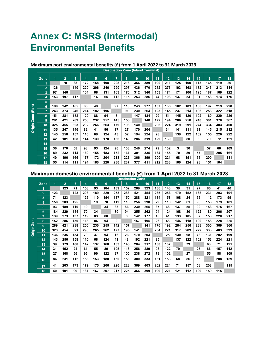### <span id="page-21-0"></span>**Annex C: MSRS (Intermodal) Environmental Benefits**

#### **Maximum port environmental benefits (£) from 1 April 2022 to 31 March 2023**

|             | <b>Destination Zone (Inland Terminal)</b> |     |                |                |     |     |     |     |     |     |     |     |                 |     |     |     |     |     |     |
|-------------|-------------------------------------------|-----|----------------|----------------|-----|-----|-----|-----|-----|-----|-----|-----|-----------------|-----|-----|-----|-----|-----|-----|
|             | Zone                                      | 1   | $\overline{2}$ | $\overline{3}$ | 4   | 5   | 6   | 7   | 8   | 9   | 10  | 11  | 12 <sub>2</sub> | 13  | 14  | 15  | 16  | 17  | 18  |
|             | 1                                         |     | 70             | 88             | 172 | 158 | 198 | 208 | 216 | 356 | 389 | 190 | 211             | 125 | 100 | 113 | 165 | 119 | 20  |
|             | $\overline{2}$                            | 136 |                | 140            | 220 | 206 | 246 | 290 | 297 | 436 | 470 | 252 | 273             | 193 | 168 | 182 | 243 | 213 | 114 |
|             | 3                                         | 97  | 146            |                | 104 | 88  | 131 | 163 | 176 | 312 | 346 | 153 | 174             | 171 | 106 | 125 | 187 | 169 | 122 |
|             | 4                                         | 153 | 197            | 117            |     | 16  | 65  | 112 | 115 | 253 | 286 | 74  | 103             | 137 | 54  | 91  | 153 | 174 | 176 |
|             | 5                                         |     |                |                |     |     |     |     |     |     |     |     |                 |     |     |     |     |     |     |
| (Port)      | 6                                         | 198 | 242            | 165            | 83  | 49  |     | 97  | 110 | 243 | 277 | 107 | 136             | 182 | 103 | 136 | 197 | 219 | 220 |
|             | $\overline{7}$                            | 243 | 373            | 246            | 214 | 182 | 196 |     | 91  | 230 | 264 | 123 | 145             | 237 | 214 | 196 | 253 | 322 | 318 |
|             | 8                                         | 151 | 281            | 152            | 120 | 88  | 94  | 3   |     | 147 | 184 | 29  | 51              | 145 | 120 | 102 | 160 | 229 | 226 |
| <b>Zone</b> | 9                                         | 291 | 421            | 289            | 258 | 232 | 257 | 145 | 156 |     | 140 | 172 | 194             | 286 | 258 | 240 | 301 | 370 | 367 |
|             | 10                                        | 325 | 455            | 323            | 292 | 266 | 263 | 179 | 193 | 140 |     | 206 | 224             | 319 | 291 | 274 | 334 | 403 | 400 |
| Origin      | 11                                        | 135 | 247            | 146            | 82  | 41  | 96  | 17  | 27  | 170 | 204 |     | 34              | 141 | 111 | 91  | 145 | 215 | 212 |
|             | 12                                        | 145 | 258            | 157            | 110 | 69  | 124 | 43  | 52  | 194 | 224 | 28  |                 | 139 | 122 | 102 | 155 | 226 | 222 |
|             | 13                                        | 42  | 181            | 108            | 144 | 139 | 170 | 136 | 149 | 286 | 319 | 129 | 139             |     | 80  | 3   | 70  | 72  | 121 |
|             | 14                                        |     |                |                |     |     |     |     |     |     |     |     |                 |     |     |     |     |     |     |
|             | 15                                        | 30  | 170            | 58             | 98  | 93  | 124 | 90  | 103 | 240 | 274 | 79  | 102             | 3   | 30  |     | 57  | 60  | 109 |
|             | 16                                        | 89  | 232            | 114            | 160 | 155 | 183 | 152 | 161 | 301 | 335 | 134 | 155             | 70  | 89  | 57  |     | 205 | 161 |
|             | 17                                        | 40  | 196            | 166            | 177 | 172 | 204 | 218 | 226 | 366 | 399 | 200 | 221             | 68  | 151 | 56  | 200 |     | 111 |
|             | 18                                        | 55  | 114            | 111            | 194 | 180 | 220 | 230 | 237 | 377 | 411 | 212 | 233             | 100 | 124 | 98  | 151 | 104 |     |

#### **Maximum domestic environmental benefits (£) from 1 April 2022 to 31 March 2023**

|        |                |     |                |     |     |     |     |              | <b>Destination Zone</b> |     |     |     |                 |     |     |     |     |     |     |
|--------|----------------|-----|----------------|-----|-----|-----|-----|--------------|-------------------------|-----|-----|-----|-----------------|-----|-----|-----|-----|-----|-----|
|        | <b>Zone</b>    | 1   | $\overline{2}$ | 3   | 4   | 5   | 6   | 7            | 8                       | 9   | 10  | 11  | 12 <sub>2</sub> | 13  | 14  | 15  | 16  | 17  | 18  |
|        | 1              |     | 123            | 71  | 158 | 93  | 184 | 139          | 152                     | 289 | 323 | 136 | 143             | 39  | 31  | 27  | 86  | 41  | 40  |
|        | $\overline{2}$ | 123 |                | 123 | 203 | 189 | 229 | 273          | 286                     | 421 | 454 | 235 | 256             | 179 | 152 | 168 | 231 | 203 | 101 |
|        | 3              | 71  | 123            |     | 125 | 110 | 154 | 137          | 150                     | 288 | 321 | 134 | 158             | 108 | 24  | 56  | 112 | 173 | 99  |
|        | 4              | 158 | 203            | 125 |     | 19  | 70  | 119          | 118                     | 256 | 290 | 79  | 110             | 142 | 61  | 95  | 158 | 179 | 181 |
|        | 5              | 93  | 189            | 110 | 19  |     | 34  | 83           | 86                      | 230 | 265 | 37  | 68              | 137 | 55  | 90  | 153 | 175 | 167 |
|        | 6              | 184 | 229            | 154 | 70  | 34  |     | 80           | 94                      | 255 | 262 | 94  | 124             | 168 | 80  | 122 | 180 | 206 | 207 |
|        | $\overline{7}$ | 139 | 273            | 137 | 119 | 83  | 80  |              | 0                       | 142 | 177 | 16  | 41              | 133 | 105 | 87  | 150 | 220 | 217 |
| Zone   | 8              | 152 | 286            | 150 | 118 | 86  | 94  | $\mathbf{0}$ |                         | 157 | 195 | 26  | 48              | 146 | 118 | 100 | 158 | 228 | 225 |
|        | 9              | 289 | 421            | 288 | 256 | 230 | 255 | 142          | 157                     |     | 141 | 170 | 192             | 284 | 256 | 238 | 300 | 369 | 366 |
| Origin | 10             | 323 | 454            | 321 | 290 | 265 | 262 | 177          | 195                     | 141 |     | 204 | 221             | 317 | 289 | 272 | 333 | 403 | 399 |
|        | 11             | 136 | 235            | 134 | 79  | 37  | 94  | 16           | 26                      | 170 | 204 |     | 25              | 130 | 98  | 78  | 131 | 202 | 199 |
|        | 12             | 143 | 256            | 158 | 110 | 68  | 124 | 41           | 48                      | 192 | 221 | 25  |                 | 137 | 122 | 102 | 153 | 224 | 221 |
|        | 13             | 39  | 179            | 108 | 142 | 137 | 168 | 133          | 146                     | 284 | 317 | 130 | 137             |     | 79  |     | 68  | 71  | 121 |
|        | 14             | 31  | 152            | 24  | 61  | 55  | 80  | 105          | 118                     | 256 | 289 | 98  | 122             | 79  |     | 27  | 86  | 157 | 112 |
|        | 15             | 27  | 168            | 56  | 95  | 90  | 122 | 87           | 100                     | 238 | 272 | 78  | 102             |     | 27  |     | 55  | 58  | 109 |
|        | 16             | 86  | 231            | 112 | 158 | 153 | 180 | 150          | 158                     | 300 | 333 | 131 | 153             | 68  | 86  | 55  |     | 208 | 159 |
|        | 17             | 41  | 203            | 173 | 179 | 175 | 206 | 220          | 228                     | 369 | 403 | 202 | 224             | 71  | 157 | 58  | 208 |     | 115 |
|        | 18             | 40  | 101            | 99  | 181 | 167 | 207 | 217          | 225                     | 366 | 399 | 199 | 221             | 121 | 112 | 109 | 159 | 115 |     |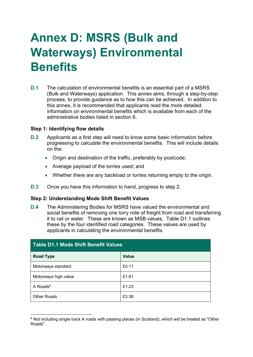### <span id="page-22-0"></span>**Annex D: MSRS (Bulk and Waterways) Environmental Benefits**

**D.1** The calculation of environmental benefits is an essential part of a MSRS (Bulk and Waterways) application. This annex aims, through a step-by-step process, to provide guidance as to how this can be achieved. In addition to this annex, it is recommended that applicants read the more detailed information on environmental benefits which is available from each of the administrative bodies listed in section 6.

#### **Step 1: Identifying flow details**

- **D.2** Applicants as a first step will need to know some basic information before progressing to calculate the environmental benefits. This will include details on the:
	- Origin and destination of the traffic, preferably by postcode;
	- Average payload of the lorries used; and
	- Whether there are any backload or lorries returning empty to the origin.
- **D.3** Once you have this information to hand, progress to step 2.

#### **Step 2: Understanding Mode Shift Benefit Values**

**D.4** The Administering Bodies for MSRS have valued the environmental and social benefits of removing one lorry mile of freight from road and transferring it to rail or water. These are known as MSB values. Table D1.1 outlines these by the four identified road categories. These values are used by applicants in calculating the environmental benefits.

| <b>Table D1.1 Mode Shift Benefit Values</b> |       |  |  |  |  |  |  |  |  |  |
|---------------------------------------------|-------|--|--|--|--|--|--|--|--|--|
| <b>Road Type</b>                            | Value |  |  |  |  |  |  |  |  |  |
| Motorways standard                          | £0.11 |  |  |  |  |  |  |  |  |  |
| Motorways high value                        | £1.61 |  |  |  |  |  |  |  |  |  |
| A Roads $6$                                 | £1.23 |  |  |  |  |  |  |  |  |  |
| <b>Other Roads</b>                          | £3.38 |  |  |  |  |  |  |  |  |  |

 $6$  Not including single track A roads with passing places (in Scotland), which will be treated as "Other Roads".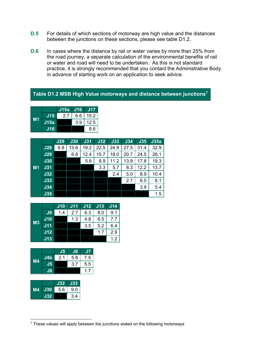- **D.5** For details of which sections of motorway are high value and the distances between the junctions on these sections, please see table D1.2.
- **D.6** In cases where the distance by rail or water varies by more than 25% from the road journey, a separate calculation of the environmental benefits of rail or water and road will need to be undertaken. As this is not standard practice, it is strongly recommended that you contact the Administrative Body in advance of starting work on an application to seek advice.

#### **Table D1.2 MSB High Value motorways and distance between junctions7**

|    |            | J15a | <b>J16</b> | J17  |
|----|------------|------|------------|------|
| И1 | <b>J15</b> | 27   | 6.6        | 15.2 |
|    | J15a       |      | 3.9        | 12.5 |
|    | <b>J16</b> |      |            | 8.6  |

|                |            | <b>J29</b> | J30  | J31  | J32  | <b>J33</b> | J34  | <b>J35</b> | J35a |
|----------------|------------|------------|------|------|------|------------|------|------------|------|
|                | <b>J28</b> | 6.8        | 13.6 | 19.2 | 22.5 | 24.9       | 27.5 | 31.4       | 32.9 |
|                | <b>J29</b> |            | 6.8  | 12.4 | 15.7 | 18.0       | 20.7 | 24.5       | 26.1 |
|                | J30        |            |      | 5.6  | 8.9  | 11.2       | 13.9 | 17.8       | 19.3 |
| M <sub>1</sub> | J31        |            |      |      | 3.3  | 5.7        | 8.3  | 12.2       | 13.7 |
|                | J32        |            |      |      |      | 2.4        | 5.0  | 8.9        | 10.4 |
|                | J33        |            |      |      |      |            | 2.7  | 6.5        | 8.1  |
|                | J34        |            |      |      |      |            |      | 3.9        | 5.4  |
|                | <b>J35</b> |            |      |      |      |            |      |            | 1.5  |

|           |     | <b>J10</b> | J11 | J12 | <b>J13</b> | J14 |
|-----------|-----|------------|-----|-----|------------|-----|
|           | J9  | 1.4        | 2.7 | 6.3 | 8.0        | 9.1 |
|           | J10 |            | 1.3 | 4.8 | 6.5        | 7.7 |
| <b>M3</b> | J11 |            |     | 3.5 | 5.2        | 6.4 |
|           | J12 |            |     |     | 1.7        | 2.9 |
|           | J13 |            |     |     |            | 1.2 |

|    |                | J <sub>5</sub> | J6  | J7  |
|----|----------------|----------------|-----|-----|
| M4 | J4b            | 2.1            | 5.8 | 7.5 |
|    | J <sub>5</sub> |                | 3.7 | 5.5 |
|    | J6             |                |     |     |

|    |     | <b>J32</b> | J33 |
|----|-----|------------|-----|
| M4 | J30 | 5.6        | 9.0 |
|    | J32 |            | 3.4 |

 $7$  These values will apply between the junctions stated on the following motorways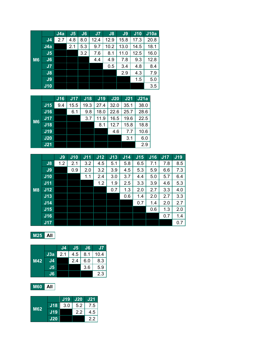|           |                | J4a | J <sub>5</sub> | J6  | J <sub>7</sub> | J8   | J9   | $J$ 10 | J10a |
|-----------|----------------|-----|----------------|-----|----------------|------|------|--------|------|
|           | J <sub>4</sub> | 2.7 | 4.8            | 8.0 | 12.4           | 12.9 | 15.8 | 17.3   | 20.8 |
|           | J4a            |     | 2.1            | 5.3 | 9.7            | 10.2 | 13.0 | 14.5   | 18.1 |
|           | J <sub>5</sub> |     |                | 3.2 | 7.6            | 8.1  | 11.0 | 12.5   | 16.0 |
| <b>M6</b> | J6             |     |                |     | 4.4            | 4.9  | 7.8  | 9.3    | 12.8 |
|           | J <sub>7</sub> |     |                |     |                | 0.5  | 3.4  | 4.8    | 8.4  |
|           | J8             |     |                |     |                |      | 2.9  | 4.3    | 7.9  |
|           | J9             |     |                |     |                |      |      | 1.5    | 5.0  |
|           | J10            |     |                |     |                |      |      |        | 3.5  |

|           |                 | <b>J16</b> | J17  | <b>J18</b> | <b>J19</b> | J20  | J <sub>21</sub> | J21a |
|-----------|-----------------|------------|------|------------|------------|------|-----------------|------|
|           | J15             | 9.4        | 15.5 | 19.3       | 27.4       | 32.0 | 35.1            | 38.0 |
|           | <b>J16</b>      |            | 6.1  | 9.8        | 18.0       | 22.6 | 25.7            | 28.6 |
| <b>M6</b> | J17             |            |      | 3.7        | 11.9       | 16.5 | 19.6            | 22.5 |
|           | <b>J18</b>      |            |      |            | 8.1        | 12.7 | 15.8            | 18.8 |
|           | J19             |            |      |            |            | 4.6  | 7.7             | 10.6 |
|           | J20             |            |      |            |            |      | 3.1             | 6.0  |
|           | J <sub>21</sub> |            |      |            |            |      |                 | 2.9  |

|           |     | J9  | J10 | J11 | J12 | J13 | J14 | J15 | J16 | J17 | <b>J19</b> |
|-----------|-----|-----|-----|-----|-----|-----|-----|-----|-----|-----|------------|
|           | J8  | 1.2 | 2.1 | 3.2 | 4.5 | 5.1 | 5.8 | 6.5 | 7.1 | 7.8 | 8.5        |
|           | J9  |     | 0.9 | 2.0 | 3.2 | 3.9 | 4.5 | 5.3 | 5.9 | 6.6 | 7.3        |
|           | J10 |     |     | 1.1 | 2.4 | 3.0 | 3.7 | 4.4 | 5.0 | 5.7 | 6.4        |
|           | J11 |     |     |     | 1.2 | 1.9 | 2.5 | 3.3 | 3.9 | 4.6 | 5.3        |
| <b>M8</b> | J12 |     |     |     |     | 0.7 | 1.3 | 2.0 | 2.7 | 3.3 | 4.0        |
|           | J13 |     |     |     |     |     | 0.6 | 1.4 | 2.0 | 2.7 | 3.3        |
|           | J14 |     |     |     |     |     |     | 0.7 | 1.4 | 2.0 | 2.7        |
|           | J15 |     |     |     |     |     |     |     | 0.6 | 1.3 | 2.0        |
|           | J16 |     |     |     |     |     |     |     |     | 0.7 | 1.4        |
|           | J17 |     |     |     |     |     |     |     |     |     | 0.7        |

**M25 All**

|            |     | J4  | J5  | J6  | J7   |
|------------|-----|-----|-----|-----|------|
|            | J3a | 2.1 | 4.5 | 8.1 | 10.4 |
| <b>M42</b> | J4  |     | 2.4 | 6.0 | 8.3  |
|            | J5  |     |     | 3.6 | 5.9  |
|            | J6  |     |     |     | 2.3  |

**M60 All**

| M62 |            | <b>J19</b> | J20 | <b>J21</b> |
|-----|------------|------------|-----|------------|
|     | <b>J18</b> | 3.0        | 5.2 | 7.5        |
|     | J19        |            | 2.2 | 4.5        |
|     | J20        |            |     | 2.2        |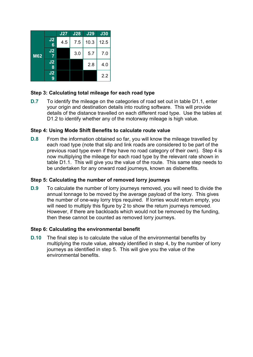|            |                      | <b>J27</b> | <b>J28</b> | J29  | <b>J30</b> |
|------------|----------------------|------------|------------|------|------------|
|            | J2<br>$6\phantom{1}$ | 4.5        | 7.5        | 10.3 | 12.5       |
| <b>M62</b> | J <sub>2</sub>       |            | 3.0        | 5.7  | 7.0        |
|            | J2<br>8              |            |            | 2.8  | 4.0        |
|            | J2<br>9              |            |            |      | 2.2        |

#### **Step 3: Calculating total mileage for each road type**

**D.7** To identify the mileage on the categories of road set out in table D1.1, enter your origin and destination details into routing software. This will provide details of the distance travelled on each different road type. Use the tables at D1.2 to identify whether any of the motorway mileage is high value.

#### **Step 4: Using Mode Shift Benefits to calculate route value**

**D.8** From the information obtained so far, you will know the mileage travelled by each road type (note that slip and link roads are considered to be part of the previous road type even if they have no road category of their own). Step 4 is now multiplying the mileage for each road type by the relevant rate shown in table D1.1. This will give you the value of the route. This same step needs to be undertaken for any onward road journeys, known as disbenefits.

#### **Step 5: Calculating the number of removed lorry journeys**

**D.9** To calculate the number of lorry journeys removed, you will need to divide the annual tonnage to be moved by the average payload of the lorry. This gives the number of one-way lorry trips required. If lorries would return empty, you will need to multiply this figure by 2 to show the return journeys removed. However, if there are backloads which would not be removed by the funding, then these cannot be counted as removed lorry journeys.

#### **Step 6: Calculating the environmental benefit**

**D.10** The final step is to calculate the value of the environmental benefits by multiplying the route value, already identified in step 4, by the number of lorry journeys as identified in step 5. This will give you the value of the environmental benefits.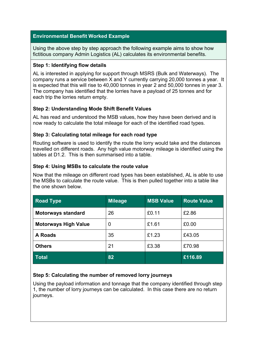#### **Environmental Benefit Worked Example**

Using the above step by step approach the following example aims to show how fictitious company Admin Logistics (AL) calculates its environmental benefits.

#### **Step 1: Identifying flow details**

AL is interested in applying for support through MSRS (Bulk and Waterways). The company runs a service between X and Y currently carrying 20,000 tonnes a year. It is expected that this will rise to 40,000 tonnes in year 2 and 50,000 tonnes in year 3. The company has identified that the lorries have a payload of 25 tonnes and for each trip the lorries return empty.

#### **Step 2: Understanding Mode Shift Benefit Values**

AL has read and understood the MSB values, how they have been derived and is now ready to calculate the total mileage for each of the identified road types.

#### **Step 3: Calculating total mileage for each road type**

Routing software is used to identify the route the lorry would take and the distances travelled on different roads. Any high value motorway mileage is identified using the tables at D1.2. This is then summarised into a table.

#### **Step 4: Using MSBs to calculate the route value**

Now that the mileage on different road types has been established, AL is able to use the MSBs to calculate the route value. This is then pulled together into a table like the one shown below.

| <b>Road Type</b>            | <b>Mileage</b> | <b>MSB Value</b> | <b>Route Value</b> |
|-----------------------------|----------------|------------------|--------------------|
| <b>Motorways standard</b>   | 26             | £0.11            | £2.86              |
| <b>Motorways High Value</b> | 0              | £1.61            | £0.00              |
| <b>A Roads</b>              | 35             | £1.23            | £43.05             |
| <b>Others</b>               | 21             | £3.38            | £70.98             |
| <b>Total</b>                | 82             |                  | £116.89            |

#### **Step 5: Calculating the number of removed lorry journeys**

Using the payload information and tonnage that the company identified through step 1, the number of lorry journeys can be calculated. In this case there are no return journeys.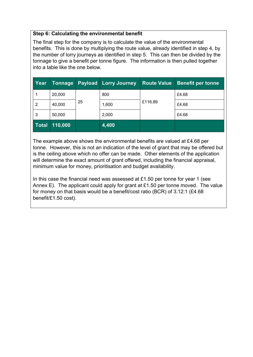#### **Step 6: Calculating the environmental benefit**

The final step for the company is to calculate the value of the environmental benefits. This is done by multiplying the route value, already identified in step 4, by the number of lorry journeys as identified in step 5. This can then be divided by the tonnage to give a benefit per tonne figure. The information is then pulled together into a table like the one below.

| Year         | <b>Tonnage</b> |    | <b>Payload Lorry Journey</b> | <b>Route Value</b> | <b>Benefit per tonne</b> |
|--------------|----------------|----|------------------------------|--------------------|--------------------------|
|              | 20,000         |    | 800                          |                    | £4.68                    |
| 2            | 40,000         | 25 | 1,600                        | £116.89            | £4.68                    |
| 3            | 50,000         |    | 2,000                        |                    | £4.68                    |
| <b>Total</b> | 110,000        |    | 4,400                        |                    |                          |

The example above shows the environmental benefits are valued at £4.68 per tonne. However, this is not an indication of the level of grant that may be offered but is the ceiling above which no offer can be made. Other elements of the application will determine the exact amount of grant offered, including the financial appraisal, minimum value for money, prioritisation and budget availability.

In this case the financial need was assessed at £1.50 per tonne for year 1 (see Annex E). The applicant could apply for grant at £1.50 per tonne moved. The value for money on that basis would be a benefit/cost ratio (BCR) of 3.12:1 (£4.68 benefit/£1.50 cost).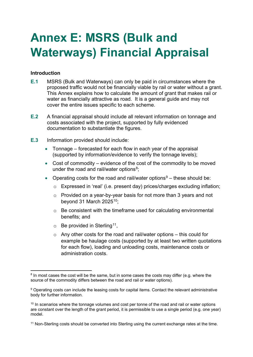### <span id="page-28-0"></span>**Annex E: MSRS (Bulk and Waterways) Financial Appraisal**

#### **Introduction**

- **E.1** MSRS (Bulk and Waterways) can only be paid in circumstances where the proposed traffic would not be financially viable by rail or water without a grant. This Annex explains how to calculate the amount of grant that makes rail or water as financially attractive as road. It is a general guide and may not cover the entire issues specific to each scheme.
- **E.2** A financial appraisal should include all relevant information on tonnage and costs associated with the project, supported by fully evidenced documentation to substantiate the figures.
- **E.3** Information provided should include:
	- Tonnage forecasted for each flow in each year of the appraisal (supported by information/evidence to verify the tonnage levels);
	- Cost of commodity evidence of the cost of the commodity to be moved under the road and rail/water options<sup>8</sup>;
	- Operating costs for the road and rail/water options $9 -$  these should be:
		- o Expressed in 'real' (i.e. present day) prices/charges excluding inflation;
		- o Provided on a year-by-year basis for not more than 3 years and not beyond 31 March 2025 $10$ ;
		- $\circ$  Be consistent with the timeframe used for calculating environmental benefits; and
		- $\circ$  Be provided in Sterling<sup>11</sup>,
		- $\circ$  Any other costs for the road and rail/water options this could for example be haulage costs (supported by at least two written quotations for each flow), loading and unloading costs, maintenance costs or administration costs.

 $8$  In most cases the cost will be the same, but in some cases the costs may differ (e.g. where the source of the commodity differs between the road and rail or water options).

<sup>&</sup>lt;sup>9</sup> Operating costs can include the leasing costs for capital items. Contact the relevant administrative body for further information.

 $10$  In scenarios where the tonnage volumes and cost per tonne of the road and rail or water options are constant over the length of the grant period, it is permissible to use a single period (e.g. one year) model.

<sup>11</sup> Non-Sterling costs should be converted into Sterling using the current exchange rates at the time.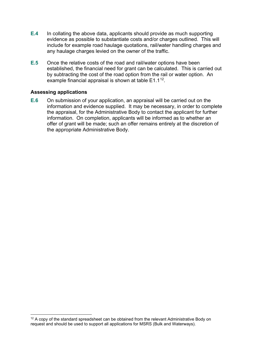- **E.4** In collating the above data, applicants should provide as much supporting evidence as possible to substantiate costs and/or charges outlined. This will include for example road haulage quotations, rail/water handling charges and any haulage charges levied on the owner of the traffic.
- **E.5** Once the relative costs of the road and rail/water options have been established, the financial need for grant can be calculated. This is carried out by subtracting the cost of the road option from the rail or water option. An example financial appraisal is shown at table  $E1.1^{12}$ .

#### **Assessing applications**

**E.6** On submission of your application, an appraisal will be carried out on the information and evidence supplied. It may be necessary, in order to complete the appraisal, for the Administrative Body to contact the applicant for further information. On completion, applicants will be informed as to whether an offer of grant will be made; such an offer remains entirely at the discretion of the appropriate Administrative Body.

 $12$  A copy of the standard spreadsheet can be obtained from the relevant Administrative Body on request and should be used to support all applications for MSRS (Bulk and Waterways).